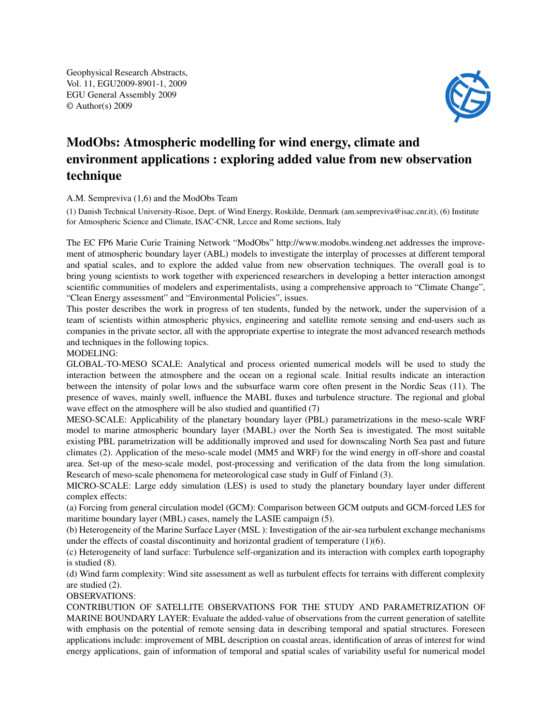Geophysical Research Abstracts, Vol. 11, EGU2009-8901-1, 2009 EGU General Assembly 2009 © Author(s) 2009



## ModObs: Atmospheric modelling for wind energy, climate and environment applications : exploring added value from new observation technique

## A.M. Sempreviva (1,6) and the ModObs Team

(1) Danish Technical University-Risoe, Dept. of Wind Energy, Roskilde, Denmark (am.sempreviva@isac.cnr.it), (6) Institute for Atmospheric Science and Climate, ISAC-CNR, Lecce and Rome sections, Italy

The EC FP6 Marie Curie Training Network "ModObs" http://www.modobs.windeng.net addresses the improvement of atmospheric boundary layer (ABL) models to investigate the interplay of processes at different temporal and spatial scales, and to explore the added value from new observation techniques. The overall goal is to bring young scientists to work together with experienced researchers in developing a better interaction amongst scientific communities of modelers and experimentalists, using a comprehensive approach to "Climate Change", "Clean Energy assessment" and "Environmental Policies", issues.

This poster describes the work in progress of ten students, funded by the network, under the supervision of a team of scientists within atmospheric physics, engineering and satellite remote sensing and end-users such as companies in the private sector, all with the appropriate expertise to integrate the most advanced research methods and techniques in the following topics.

## MODELING:

GLOBAL-TO-MESO SCALE: Analytical and process oriented numerical models will be used to study the interaction between the atmosphere and the ocean on a regional scale. Initial results indicate an interaction between the intensity of polar lows and the subsurface warm core often present in the Nordic Seas (11). The presence of waves, mainly swell, influence the MABL fluxes and turbulence structure. The regional and global wave effect on the atmosphere will be also studied and quantified (7)

MESO-SCALE: Applicability of the planetary boundary layer (PBL) parametrizations in the meso-scale WRF model to marine atmospheric boundary layer (MABL) over the North Sea is investigated. The most suitable existing PBL parametrization will be additionally improved and used for downscaling North Sea past and future climates (2). Application of the meso-scale model (MM5 and WRF) for the wind energy in off-shore and coastal area. Set-up of the meso-scale model, post-processing and verification of the data from the long simulation. Research of meso-scale phenomena for meteorological case study in Gulf of Finland (3).

MICRO-SCALE: Large eddy simulation (LES) is used to study the planetary boundary layer under different complex effects:

(a) Forcing from general circulation model (GCM): Comparison between GCM outputs and GCM-forced LES for maritime boundary layer (MBL) cases, namely the LASIE campaign (5).

(b) Heterogeneity of the Marine Surface Layer (MSL ): Investigation of the air-sea turbulent exchange mechanisms under the effects of coastal discontinuity and horizontal gradient of temperature (1)(6).

(c) Heterogeneity of land surface: Turbulence self-organization and its interaction with complex earth topography is studied (8).

(d) Wind farm complexity: Wind site assessment as well as turbulent effects for terrains with different complexity are studied (2).

## OBSERVATIONS:

CONTRIBUTION OF SATELLITE OBSERVATIONS FOR THE STUDY AND PARAMETRIZATION OF MARINE BOUNDARY LAYER: Evaluate the added-value of observations from the current generation of satellite with emphasis on the potential of remote sensing data in describing temporal and spatial structures. Foreseen applications include: improvement of MBL description on coastal areas, identification of areas of interest for wind energy applications, gain of information of temporal and spatial scales of variability useful for numerical model